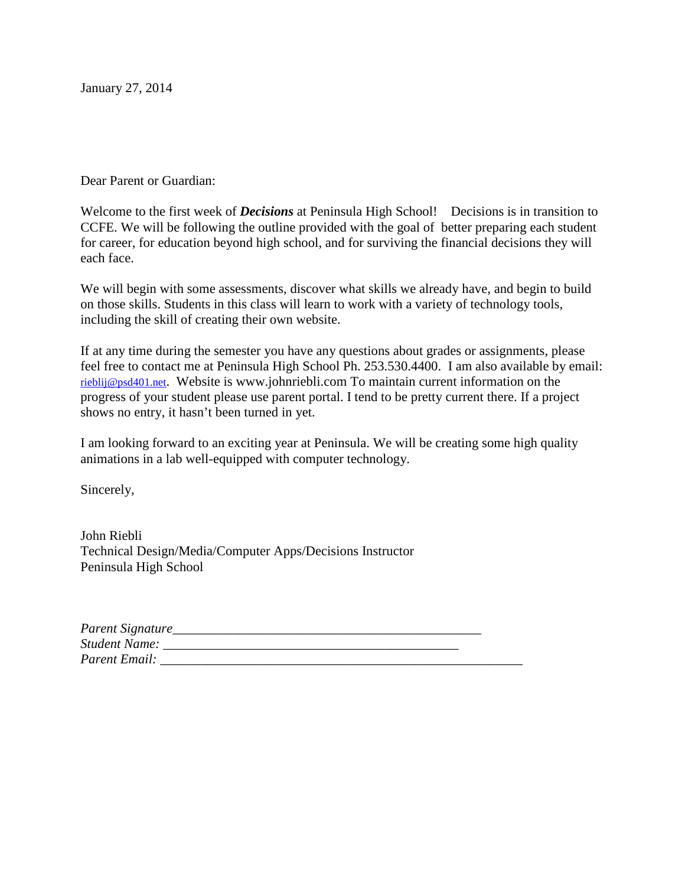January 27, 2014

Dear Parent or Guardian:

Welcome to the first week of *Decisions* at Peninsula High School! Decisions is in transition to CCFE. We will be following the outline provided with the goal of better preparing each student for career, for education beyond high school, and for surviving the financial decisions they will each face.

We will begin with some assessments, discover what skills we already have, and begin to build on those skills. Students in this class will learn to work with a variety of technology tools, including the skill of creating their own website.

If at any time during the semester you have any questions about grades or assignments, please feel free to contact me at Peninsula High School Ph. 253.530.4400. I am also available by email: rieblij@psd401.net. Website is www.johnriebli.com To maintain current information on the progress of your student please use parent portal. I tend to be pretty current there. If a project shows no entry, it hasn't been turned in yet.

I am looking forward to an exciting year at Peninsula. We will be creating some high quality animations in a lab well-equipped with computer technology.

Sincerely,

John Riebli Technical Design/Media/Computer Apps/Decisions Instructor Peninsula High School

| Parent Signature_    |  |
|----------------------|--|
| <b>Student Name:</b> |  |
| Parent Email:        |  |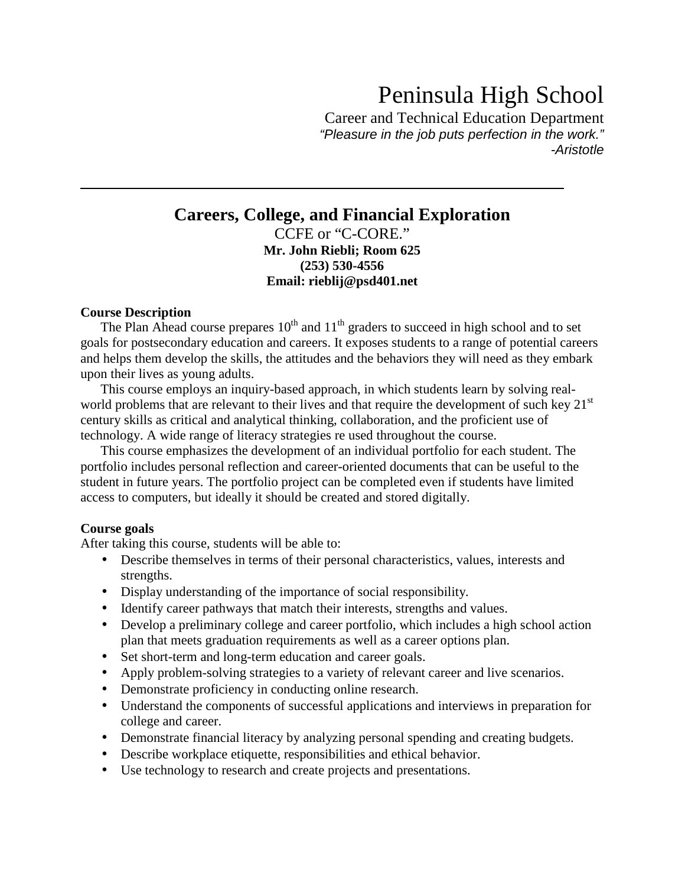# Peninsula High School

Career and Technical Education Department "Pleasure in the job puts perfection in the work." -Aristotle

## **Careers, College, and Financial Exploration**  CCFE or "C-CORE." **Mr. John Riebli; Room 625 (253) 530-4556 Email: rieblij@psd401.net**

#### **Course Description**

The Plan Ahead course prepares  $10^{th}$  and  $11^{th}$  graders to succeed in high school and to set goals for postsecondary education and careers. It exposes students to a range of potential careers and helps them develop the skills, the attitudes and the behaviors they will need as they embark upon their lives as young adults.

This course employs an inquiry-based approach, in which students learn by solving realworld problems that are relevant to their lives and that require the development of such key  $21<sup>st</sup>$ century skills as critical and analytical thinking, collaboration, and the proficient use of technology. A wide range of literacy strategies re used throughout the course.

This course emphasizes the development of an individual portfolio for each student. The portfolio includes personal reflection and career-oriented documents that can be useful to the student in future years. The portfolio project can be completed even if students have limited access to computers, but ideally it should be created and stored digitally.

#### **Course goals**

After taking this course, students will be able to:

- Describe themselves in terms of their personal characteristics, values, interests and strengths.
- Display understanding of the importance of social responsibility.
- Identify career pathways that match their interests, strengths and values.
- Develop a preliminary college and career portfolio, which includes a high school action plan that meets graduation requirements as well as a career options plan.
- Set short-term and long-term education and career goals.
- Apply problem-solving strategies to a variety of relevant career and live scenarios.
- Demonstrate proficiency in conducting online research.
- Understand the components of successful applications and interviews in preparation for college and career.
- Demonstrate financial literacy by analyzing personal spending and creating budgets.
- Describe workplace etiquette, responsibilities and ethical behavior.
- Use technology to research and create projects and presentations.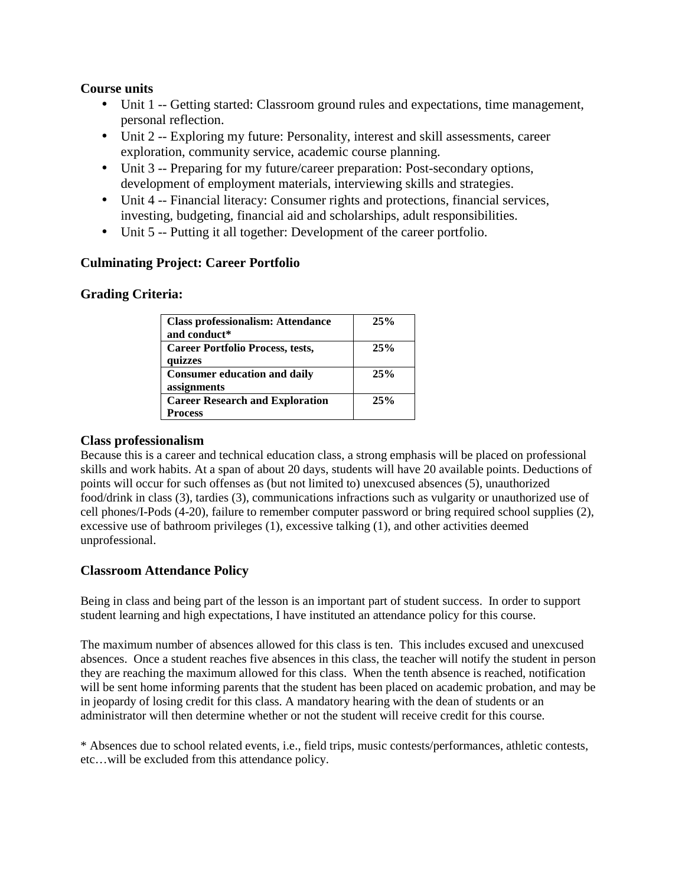## **Course units**

- Unit 1 -- Getting started: Classroom ground rules and expectations, time management, personal reflection.
- Unit 2 -- Exploring my future: Personality, interest and skill assessments, career exploration, community service, academic course planning.
- Unit 3 -- Preparing for my future/career preparation: Post-secondary options, development of employment materials, interviewing skills and strategies.
- Unit 4 -- Financial literacy: Consumer rights and protections, financial services, investing, budgeting, financial aid and scholarships, adult responsibilities.
- Unit 5 -- Putting it all together: Development of the career portfolio.

## **Culminating Project: Career Portfolio**

## **Grading Criteria:**

| <b>Class professionalism: Attendance</b><br>and conduct* | 25% |
|----------------------------------------------------------|-----|
| <b>Career Portfolio Process, tests,</b><br>quizzes       | 25% |
| <b>Consumer education and daily</b><br>assignments       | 25% |
| <b>Career Research and Exploration</b><br><b>Process</b> | 25% |

#### **Class professionalism**

Because this is a career and technical education class, a strong emphasis will be placed on professional skills and work habits. At a span of about 20 days, students will have 20 available points. Deductions of points will occur for such offenses as (but not limited to) unexcused absences (5), unauthorized food/drink in class (3), tardies (3), communications infractions such as vulgarity or unauthorized use of cell phones/I-Pods (4-20), failure to remember computer password or bring required school supplies (2), excessive use of bathroom privileges (1), excessive talking (1), and other activities deemed unprofessional.

#### **Classroom Attendance Policy**

Being in class and being part of the lesson is an important part of student success. In order to support student learning and high expectations, I have instituted an attendance policy for this course.

The maximum number of absences allowed for this class is ten. This includes excused and unexcused absences. Once a student reaches five absences in this class, the teacher will notify the student in person they are reaching the maximum allowed for this class. When the tenth absence is reached, notification will be sent home informing parents that the student has been placed on academic probation, and may be in jeopardy of losing credit for this class. A mandatory hearing with the dean of students or an administrator will then determine whether or not the student will receive credit for this course.

\* Absences due to school related events, i.e., field trips, music contests/performances, athletic contests, etc…will be excluded from this attendance policy.